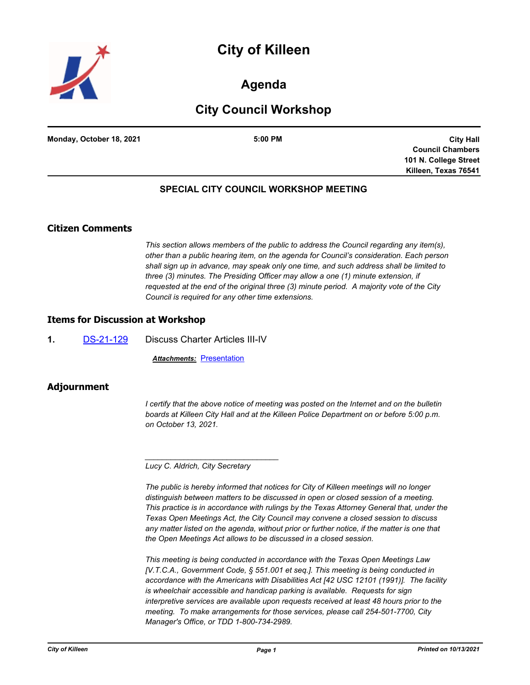# **City of Killeen**



# **Agenda**

# **City Council Workshop**

|                          | 5:00 PM |
|--------------------------|---------|
| Monday, October 18, 2021 |         |

**City Hall Council Chambers 101 N. College Street Killeen, Texas 76541**

## **SPECIAL CITY COUNCIL WORKSHOP MEETING**

## **Citizen Comments**

*This section allows members of the public to address the Council regarding any item(s), other than a public hearing item, on the agenda for Council's consideration. Each person shall sign up in advance, may speak only one time, and such address shall be limited to three (3) minutes. The Presiding Officer may allow a one (1) minute extension, if requested at the end of the original three (3) minute period. A majority vote of the City Council is required for any other time extensions.*

### **Items for Discussion at Workshop**

**1.** [DS-21-129](http://killeen.legistar.com/gateway.aspx?m=l&id=/matter.aspx?key=5720) Discuss Charter Articles III-IV

**Attachments: [Presentation](http://killeen.legistar.com/gateway.aspx?M=F&ID=4bd4935c-7c08-4daa-b3bc-29aec75e4db0.pdf)** 

### **Adjournment**

*I* certify that the above notice of meeting was posted on the Internet and on the bulletin *boards at Killeen City Hall and at the Killeen Police Department on or before 5:00 p.m. on October 13, 2021.*

*Lucy C. Aldrich, City Secretary* 

*\_\_\_\_\_\_\_\_\_\_\_\_\_\_\_\_\_\_\_\_\_\_\_\_\_\_\_\_\_\_\_*

*The public is hereby informed that notices for City of Killeen meetings will no longer distinguish between matters to be discussed in open or closed session of a meeting. This practice is in accordance with rulings by the Texas Attorney General that, under the Texas Open Meetings Act, the City Council may convene a closed session to discuss any matter listed on the agenda, without prior or further notice, if the matter is one that the Open Meetings Act allows to be discussed in a closed session.*

*This meeting is being conducted in accordance with the Texas Open Meetings Law [V.T.C.A., Government Code, § 551.001 et seq.]. This meeting is being conducted in accordance with the Americans with Disabilities Act [42 USC 12101 (1991)]. The facility is wheelchair accessible and handicap parking is available. Requests for sign interpretive services are available upon requests received at least 48 hours prior to the meeting. To make arrangements for those services, please call 254-501-7700, City Manager's Office, or TDD 1-800-734-2989.*